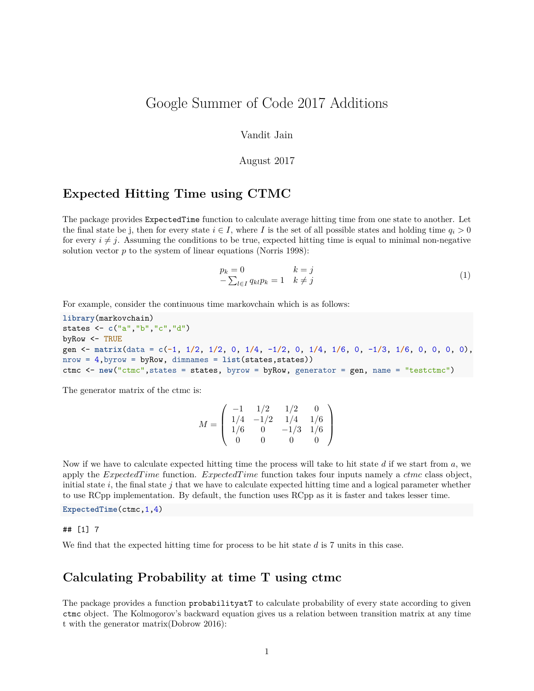# Google Summer of Code 2017 Additions

### Vandit Jain

### August 2017

### **Expected Hitting Time using CTMC**

The package provides ExpectedTime function to calculate average hitting time from one state to another. Let the final state be j, then for every state  $i \in I$ , where *I* is the set of all possible states and holding time  $q_i > 0$ for every  $i \neq j$ . Assuming the conditions to be true, expected hitting time is equal to minimal non-negative solution vector *p* to the system of linear equations (Norris 1998):

$$
p_k = 0 \t k = j
$$
  
-
$$
\sum_{l \in I} q_{kl} p_k = 1 \t k \neq j
$$
 (1)

For example, consider the continuous time markovchain which is as follows:

```
library(markovchain)
states <- c("a","b","c","d")
byRow <- TRUE
gen <- matrix(data = c(-1, 1/2, 1/2, 0, 1/4, -1/2, 0, 1/4, 1/6, 0, -1/3, 1/6, 0, 0, 0, 0),
nrow = 4,byrow = byRow, dimnames = list(states,states))
ctmc <- new("ctmc",states = states, byrow = byRow, generator = gen, name = "testctmc")
```
The generator matrix of the ctmc is:

$$
M = \left(\begin{array}{rrrr} -1 & 1/2 & 1/2 & 0 \\ 1/4 & -1/2 & 1/4 & 1/6 \\ 1/6 & 0 & -1/3 & 1/6 \\ 0 & 0 & 0 & 0 \end{array}\right)
$$

Now if we have to calculate expected hitting time the process will take to hit state *d* if we start from *a*, we apply the *ExpectedT ime* function. *ExpectedT ime* function takes four inputs namely a *ctmc* class object, initial state  $i$ , the final state  $j$  that we have to calculate expected hitting time and a logical parameter whether to use RCpp implementation. By default, the function uses RCpp as it is faster and takes lesser time.

**ExpectedTime**(ctmc,1,4)

#### ## [1] 7

We find that the expected hitting time for process to be hit state *d* is 7 units in this case.

### **Calculating Probability at time T using ctmc**

The package provides a function probabilityatT to calculate probability of every state according to given ctmc object. The Kolmogorov's backward equation gives us a relation between transition matrix at any time t with the generator matrix(Dobrow 2016):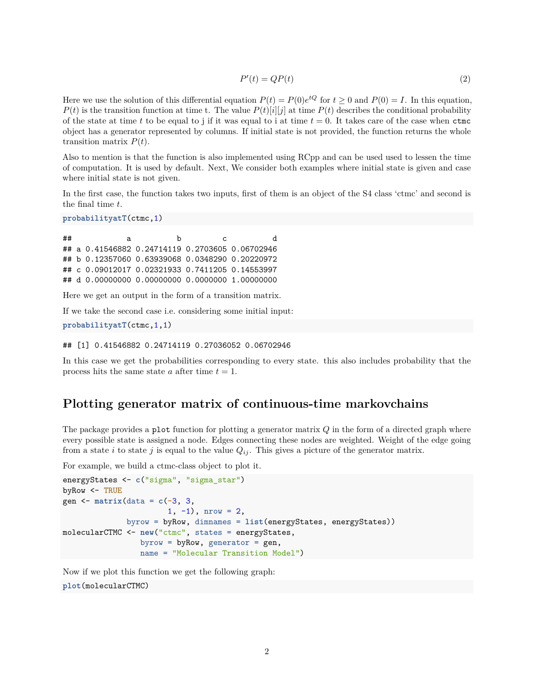$$
P'(t) = QP(t) \tag{2}
$$

Here we use the solution of this differential equation  $P(t) = P(0)e^{tQ}$  for  $t \ge 0$  and  $P(0) = I$ . In this equation,  $P(t)$  is the transition function at time t. The value  $P(t)[i][j]$  at time  $P(t)$  describes the conditional probability of the state at time *t* to be equal to j if it was equal to i at time  $t = 0$ . It takes care of the case when  $ctmc$ object has a generator represented by columns. If initial state is not provided, the function returns the whole transition matrix *P*(*t*).

Also to mention is that the function is also implemented using RCpp and can be used used to lessen the time of computation. It is used by default. Next, We consider both examples where initial state is given and case where initial state is not given.

In the first case, the function takes two inputs, first of them is an object of the S4 class 'ctmc' and second is the final time *t*.

**probabilityatT**(ctmc,1)

## a b c d ## a 0.41546882 0.24714119 0.2703605 0.06702946 ## b 0.12357060 0.63939068 0.0348290 0.20220972 ## c 0.09012017 0.02321933 0.7411205 0.14553997 ## d 0.00000000 0.00000000 0.0000000 1.00000000

Here we get an output in the form of a transition matrix.

If we take the second case i.e. considering some initial input:

```
probabilityatT(ctmc,1,1)
```
## [1] 0.41546882 0.24714119 0.27036052 0.06702946

In this case we get the probabilities corresponding to every state. this also includes probability that the process hits the same state *a* after time  $t = 1$ .

### **Plotting generator matrix of continuous-time markovchains**

The package provides a plot function for plotting a generator matrix *Q* in the form of a directed graph where every possible state is assigned a node. Edges connecting these nodes are weighted. Weight of the edge going from a state *i* to state *j* is equal to the value  $Q_{ij}$ . This gives a picture of the generator matrix.

For example, we build a ctmc-class object to plot it.

```
energyStates <- c("sigma", "sigma_star")
byRow <- TRUE
gen <- matrix(data = c(-3, 3,
                       1, -1), nrow = 2,
              byrow = byRow, dimnames = list(energyStates, energyStates))
molecularCTMC <- new("ctmc", states = energyStates,
                 byrow = byRow, generator = gen,
                 name = "Molecular Transition Model")
```
Now if we plot this function we get the following graph:

**plot**(molecularCTMC)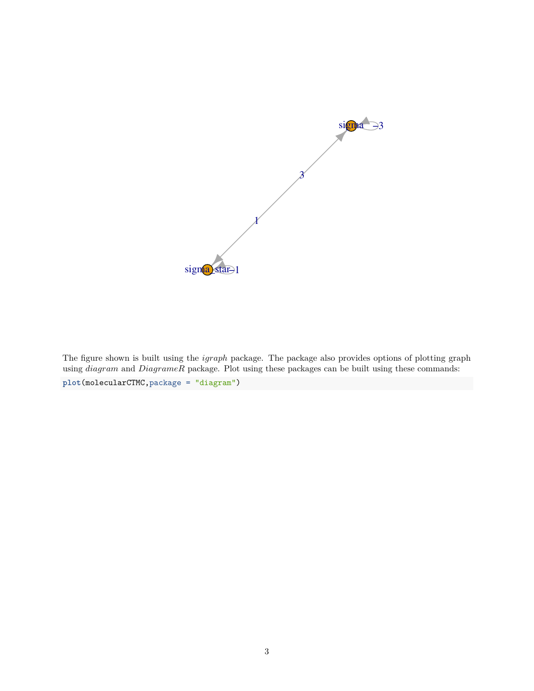

The figure shown is built using the *igraph* package. The package also provides options of plotting graph using *diagram* and *DiagrameR* package. Plot using these packages can be built using these commands: **plot**(molecularCTMC,package = "diagram")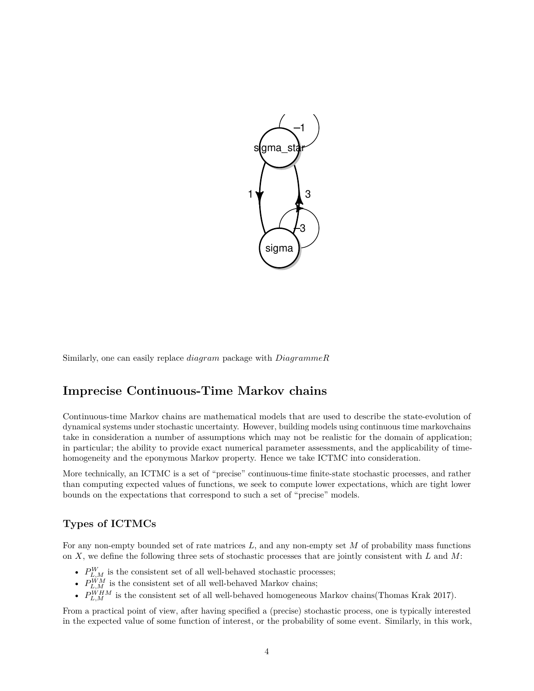

Similarly, one can easily replace *diagram* package with *DiagrammeR*

# **Imprecise Continuous-Time Markov chains**

Continuous-time Markov chains are mathematical models that are used to describe the state-evolution of dynamical systems under stochastic uncertainty. However, building models using continuous time markovchains take in consideration a number of assumptions which may not be realistic for the domain of application; in particular; the ability to provide exact numerical parameter assessments, and the applicability of timehomogeneity and the eponymous Markov property. Hence we take ICTMC into consideration.

More technically, an ICTMC is a set of "precise" continuous-time finite-state stochastic processes, and rather than computing expected values of functions, we seek to compute lower expectations, which are tight lower bounds on the expectations that correspond to such a set of "precise" models.

### **Types of ICTMCs**

For any non-empty bounded set of rate matrices *L*, and any non-empty set *M* of probability mass functions on *X*, we define the following three sets of stochastic processes that are jointly consistent with *L* and *M*:

- $P_{L,M}^W$  is the consistent set of all well-behaved stochastic processes;
- $P_{L,M}^{WM}$  is the consistent set of all well-behaved Markov chains;
- $P_{L,M}^{WHM}$  is the consistent set of all well-behaved homogeneous Markov chains(Thomas Krak 2017).

From a practical point of view, after having specified a (precise) stochastic process, one is typically interested in the expected value of some function of interest, or the probability of some event. Similarly, in this work,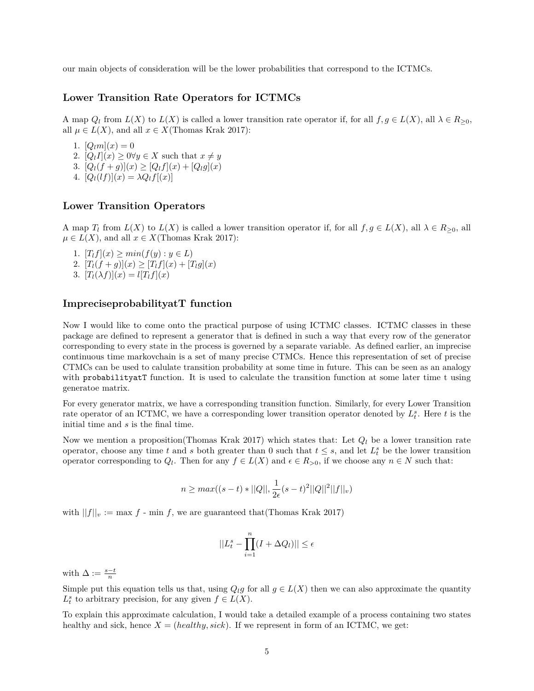our main objects of consideration will be the lower probabilities that correspond to the ICTMCs.

### **Lower Transition Rate Operators for ICTMCs**

A map  $Q_l$  from  $L(X)$  to  $L(X)$  is called a lower transition rate operator if, for all  $f, g \in L(X)$ , all  $\lambda \in R_{\geq 0}$ , all  $\mu \in L(X)$ , and all  $x \in X$ (Thomas Krak 2017):

- 1.  $[Q_l m](x) = 0$
- 2.  $[Q_l I](x) \geq 0 \forall y \in X$  such that  $x \neq y$
- 3.  $[Q_l(f+g)](x) \geq [Q_l f](x) + [Q_l g](x)$
- 4.  $[Q_l(lf)](x) = \lambda Q_l f[(x)]$

### **Lower Transition Operators**

A map  $T_l$  from  $L(X)$  to  $L(X)$  is called a lower transition operator if, for all  $f, g \in L(X)$ , all  $\lambda \in R_{>0}$ , all  $\mu \in L(X)$ , and all  $x \in X$ (Thomas Krak 2017):

1.  $[T_l f](x) \geq min(f(y) : y \in L)$ 2.  $[T_l(f+g)](x) \geq [T_l f](x) + [T_l g](x)$ 3.  $[T_l(\lambda f)](x) = l[T_l f](x)$ 

### **ImpreciseprobabilityatT function**

Now I would like to come onto the practical purpose of using ICTMC classes. ICTMC classes in these package are defined to represent a generator that is defined in such a way that every row of the generator corresponding to every state in the process is governed by a separate variable. As defined earlier, an imprecise continuous time markovchain is a set of many precise CTMCs. Hence this representation of set of precise CTMCs can be used to calulate transition probability at some time in future. This can be seen as an analogy with probability at T function. It is used to calculate the transition function at some later time t using generatoe matrix.

For every generator matrix, we have a corresponding transition function. Similarly, for every Lower Transition rate operator of an ICTMC, we have a corresponding lower transition operator denoted by *L s t* . Here *t* is the initial time and *s* is the final time.

Now we mention a proposition(Thomas Krak 2017) which states that: Let  $Q_l$  be a lower transition rate operator, choose any time *t* and *s* both greater than 0 such that  $t \leq s$ , and let  $L_t^s$  be the lower transition operator corresponding to  $Q_l$ . Then for any  $f \in L(X)$  and  $\epsilon \in R_{>0}$ , if we choose any  $n \in N$  such that:

$$
n \ge \max((s-t) * ||Q||, \frac{1}{2\epsilon}(s-t)^2 ||Q||^2 ||f||_v)
$$

with  $||f||_v := \max f$  - min *f*, we are guaranteed that (Thomas Krak 2017)

$$
||L_t^s - \prod_{i=1}^n (I + \Delta Q_l)|| \le \epsilon
$$

with  $\Delta := \frac{s-t}{n}$ 

Simple put this equation tells us that, using  $Q_l g$  for all  $g \in L(X)$  then we can also approximate the quantity  $L_t^s$  to arbitrary precision, for any given  $f \in L(X)$ .

To explain this approximate calculation, I would take a detailed example of a process containing two states healthy and sick, hence  $X = (healthy, sick)$ . If we represent in form of an ICTMC, we get: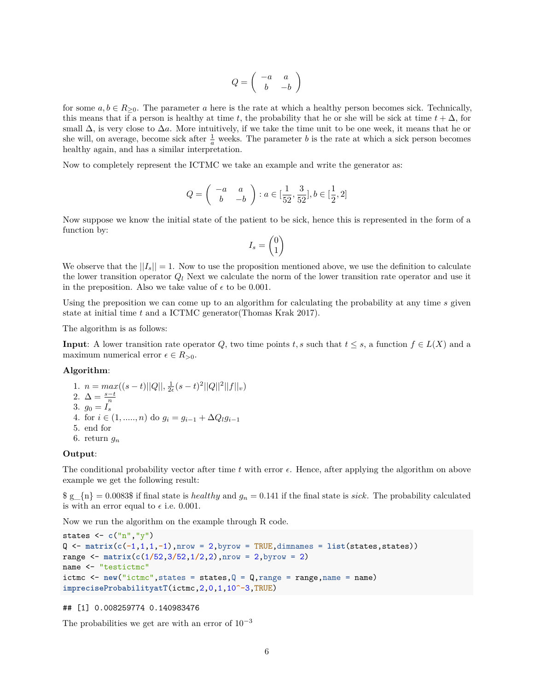$$
Q = \left( \begin{array}{cc} -a & a \\ b & -b \end{array} \right)
$$

for some  $a, b \in R_{\geq 0}$ . The parameter *a* here is the rate at which a healthy person becomes sick. Technically, this means that if a person is healthy at time *t*, the probability that he or she will be sick at time  $t + \Delta$ , for small  $\Delta$ , is very close to  $\Delta a$ . More intuitively, if we take the time unit to be one week, it means that he or she will, on average, become sick after  $\frac{1}{a}$  weeks. The parameter *b* is the rate at which a sick person becomes healthy again, and has a similar interpretation.

Now to completely represent the ICTMC we take an example and write the generator as:

$$
Q=\left(\begin{array}{cc}-a&a\\b&-b\end{array}\right): a\in[\frac{1}{52},\frac{3}{52}], b\in[\frac{1}{2},2]
$$

Now suppose we know the initial state of the patient to be sick, hence this is represented in the form of a function by:

$$
I_s=\begin{pmatrix}0\\1\end{pmatrix}
$$

We observe that the  $||I_s|| = 1$ . Now to use the proposition mentioned above, we use the definition to calculate the lower transition operator  $Q_l$  Next we calculate the norm of the lower transition rate operator and use it in the preposition. Also we take value of  $\epsilon$  to be 0.001.

Using the preposition we can come up to an algorithm for calculating the probability at any time *s* given state at initial time *t* and a ICTMC generator(Thomas Krak 2017).

The algorithm is as follows:

**Input**: A lower transition rate operator *Q*, two time points *t*, *s* such that  $t \leq s$ , a function  $f \in L(X)$  and a maximum numerical error  $\epsilon \in R_{>0}$ .

#### **Algorithm**:

1.  $n = max((s-t)||Q||, \frac{1}{2\epsilon}(s-t)^2||Q||^2||f||_v)$ 2.  $\Delta = \frac{s-t}{n}$ 3.  $g_0 = I_s^{\dagger}$ 4. for  $i \in (1, \ldots, n)$  do  $g_i = g_{i-1} + \Delta Q_i g_{i-1}$ 5. end for 6. return  $g_n$ 

#### **Output**:

The conditional probability vector after time  $t$  with error  $\epsilon$ . Hence, after applying the algorithm on above example we get the following result:

 $\gtrsim \frac{1}{n} = 0.0083\$  if final state is *healthy* and  $g_n = 0.141$  if the final state is *sick*. The probability calculated is with an error equal to  $\epsilon$  i.e. 0.001.

Now we run the algorithm on the example through R code.

```
states <- c("n","y")
Q <- matrix(c(-1,1,1,-1),nrow = 2,byrow = TRUE,dimnames = list(states,states))
range <- matrix(c(1/52,3/52,1/2,2),nrow = 2,byrow = 2)
name <- "testictmc"
ictmc \leq new ("ictmc", states = states, Q = Q, range = range, name = name)
impreciseProbabilityatT(ictmc,2,0,1,10^-3,TRUE)
```
## [1] 0.008259774 0.140983476

The probabilities we get are with an error of  $10^{-3}$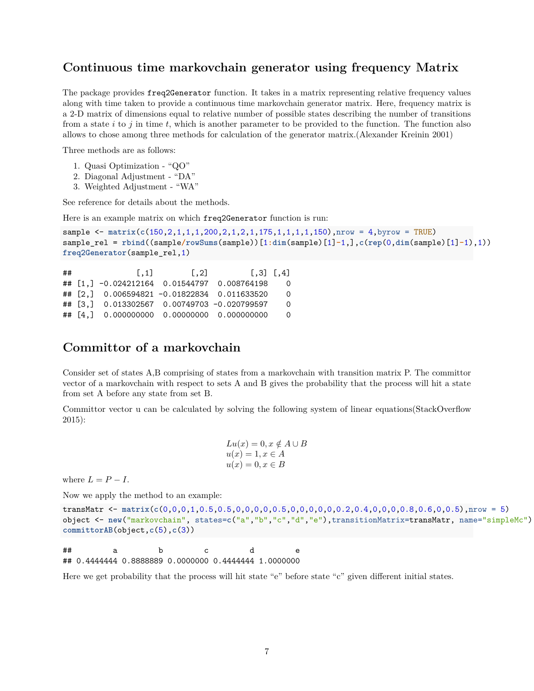### **Continuous time markovchain generator using frequency Matrix**

The package provides freq2Generator function. It takes in a matrix representing relative frequency values along with time taken to provide a continuous time markovchain generator matrix. Here, frequency matrix is a 2-D matrix of dimensions equal to relative number of possible states describing the number of transitions from a state *i* to *j* in time *t*, which is another parameter to be provided to the function. The function also allows to chose among three methods for calculation of the generator matrix.(Alexander Kreinin 2001)

Three methods are as follows:

- 1. Quasi Optimization "QO"
- 2. Diagonal Adjustment "DA"
- 3. Weighted Adjustment "WA"

See reference for details about the methods.

Here is an example matrix on which freq2Generator function is run:

```
sample <- matrix(c(150,2,1,1,1,200,2,1,2,1,175,1,1,1,1,150),nrow = 4,byrow = TRUE)
sample_rel = rbind((sample/rowSums(sample))[1:dim(sample)[1]-1,],c(rep(0,dim(sample)[1]-1),1))
freq2Generator(sample_rel,1)
```

```
## [,1] [,2] [,3] [,4]
## [1,] -0.024212164 0.01544797 0.008764198 0
## [2,] 0.006594821 -0.01822834 0.011633520 0
## [3,] 0.013302567 0.00749703 -0.020799597 0
## [4,] 0.000000000 0.00000000 0.000000000 0
```
# **Committor of a markovchain**

Consider set of states A,B comprising of states from a markovchain with transition matrix P. The committor vector of a markovchain with respect to sets A and B gives the probability that the process will hit a state from set A before any state from set B.

Committor vector u can be calculated by solving the following system of linear equations(StackOverflow 2015):

$$
Lu(x) = 0, x \notin A \cup B
$$
  

$$
u(x) = 1, x \in A
$$
  

$$
u(x) = 0, x \in B
$$

where  $L = P - I$ .

Now we apply the method to an example:

```
transMatr <- matrix(c(0,0,0,1,0.5,0.5,0,0,0,0,0.5,0,0,0,0,0,0.2,0.4,0,0,0,0.8,0.6,0,0.5),nrow = 5)
object <- new("markovchain", states=c("a","b","c","d","e"),transitionMatrix=transMatr, name="simpleMc")
committorAB(object,c(5),c(3))
```

| ## |                                                      |  |  |
|----|------------------------------------------------------|--|--|
|    | ## 0.4444444 0.8888889 0.0000000 0.4444444 1.0000000 |  |  |

Here we get probability that the process will hit state "e" before state "c" given different initial states.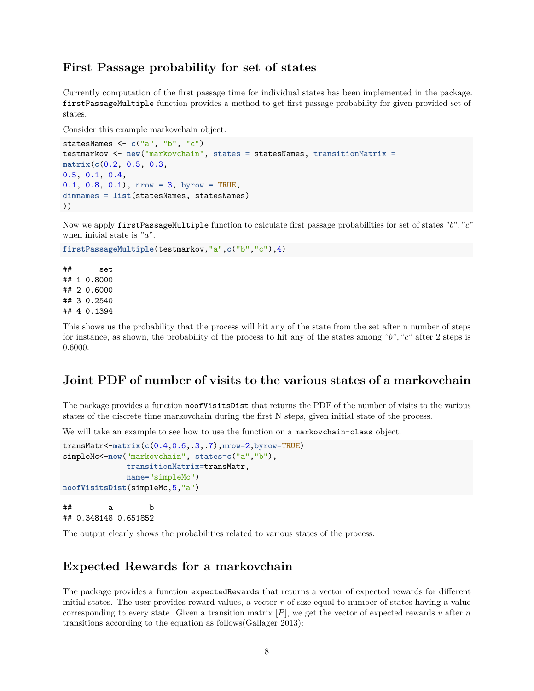### **First Passage probability for set of states**

Currently computation of the first passage time for individual states has been implemented in the package. firstPassageMultiple function provides a method to get first passage probability for given provided set of states.

Consider this example markovchain object:

```
statesNames <- c("a", "b", "c")
testmarkov <- new("markovchain", states = statesNames, transitionMatrix =
matrix(c(0.2, 0.5, 0.3,
0.5, 0.1, 0.4,
0.1, 0.8, 0.1), nrow = 3, byrow = TRUE,
dimnames = list(statesNames, statesNames)
))
```
Now we apply firstPassageMultiple function to calculate first passage probabilities for set of states "*b*"*,* "*c*" when initial state is "*a*".

```
firstPassageMultiple(testmarkov,"a",c("b","c"),4)
```
## set ## 1 0.8000 ## 2 0.6000 ## 3 0.2540 ## 4 0.1394

This shows us the probability that the process will hit any of the state from the set after n number of steps for instance, as shown, the probability of the process to hit any of the states among "*b*"*,* "*c*" after 2 steps is 0*.*6000.

# **Joint PDF of number of visits to the various states of a markovchain**

The package provides a function noofVisitsDist that returns the PDF of the number of visits to the various states of the discrete time markovchain during the first N steps, given initial state of the process.

We will take an example to see how to use the function on a markovchain-class object:

```
transMatr<-matrix(c(0.4,0.6,.3,.7),nrow=2,byrow=TRUE)
simpleMc<-new("markovchain", states=c("a","b"),
              transitionMatrix=transMatr,
              name="simpleMc")
noofVisitsDist(simpleMc,5,"a")
```
## a b ## 0.348148 0.651852

The output clearly shows the probabilities related to various states of the process.

### **Expected Rewards for a markovchain**

The package provides a function expectedRewards that returns a vector of expected rewards for different initial states. The user provides reward values, a vector *r* of size equal to number of states having a value corresponding to every state. Given a transition matrix  $[P]$ , we get the vector of expected rewards *v* after *n* transitions according to the equation as follows(Gallager 2013):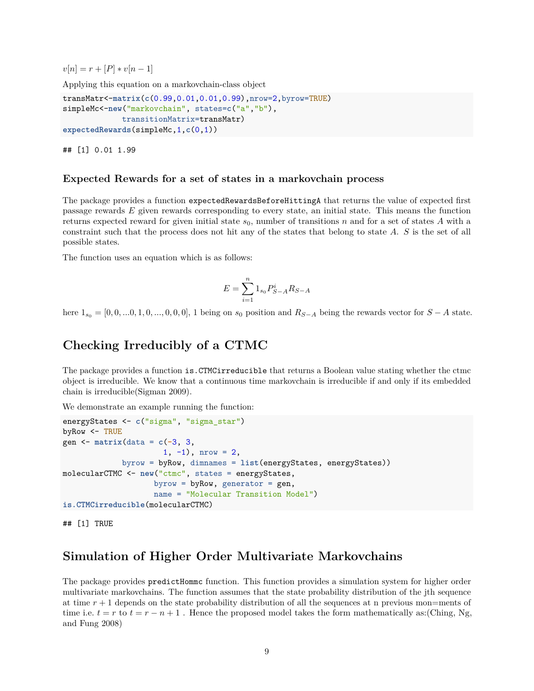$v[n] = r + [P] * v[n-1]$ 

Applying this equation on a markovchain-class object

```
transMatr<-matrix(c(0.99,0.01,0.01,0.99),nrow=2,byrow=TRUE)
simpleMc<-new("markovchain", states=c("a","b"),
             transitionMatrix=transMatr)
expectedRewards(simpleMc,1,c(0,1))
```
## [1] 0.01 1.99

### **Expected Rewards for a set of states in a markovchain process**

The package provides a function expectedRewardsBeforeHittingA that returns the value of expected first passage rewards *E* given rewards corresponding to every state, an initial state. This means the function returns expected reward for given initial state  $s_0$ , number of transitions *n* and for a set of states *A* with a constraint such that the process does not hit any of the states that belong to state *A*. *S* is the set of all possible states.

The function uses an equation which is as follows:

$$
E = \sum_{i=1}^{n} 1_{s_0} P_{S-A}^i R_{S-A}
$$

here  $1_{s_0} = [0, 0, ..., 0, 1, 0, ..., 0, 0, 0]$ , 1 being on  $s_0$  position and  $R_{S-A}$  being the rewards vector for  $S-A$  state.

## **Checking Irreducibly of a CTMC**

The package provides a function is.CTMCirreducible that returns a Boolean value stating whether the ctmc object is irreducible. We know that a continuous time markovchain is irreducible if and only if its embedded chain is irreducible(Sigman 2009).

We demonstrate an example running the function:

```
energyStates <- c("sigma", "sigma_star")
byRow <- TRUE
gen <- matrix(data = c(-3, 3,
                      1, -1), nrow = 2,
             byrow = byRow, dimnames = list(energyStates, energyStates))
molecularCTMC <- new("ctmc", states = energyStates,
                    byrow = byRow, generator = gen,
                    name = "Molecular Transition Model")
is.CTMCirreducible(molecularCTMC)
```
## [1] TRUE

# **Simulation of Higher Order Multivariate Markovchains**

The package provides predictHommc function. This function provides a simulation system for higher order multivariate markovchains. The function assumes that the state probability distribution of the jth sequence at time *r* + 1 depends on the state probability distribution of all the sequences at n previous mon=ments of time i.e.  $t = r$  to  $t = r - n + 1$ . Hence the proposed model takes the form mathematically as:(Ching, Ng, and Fung 2008)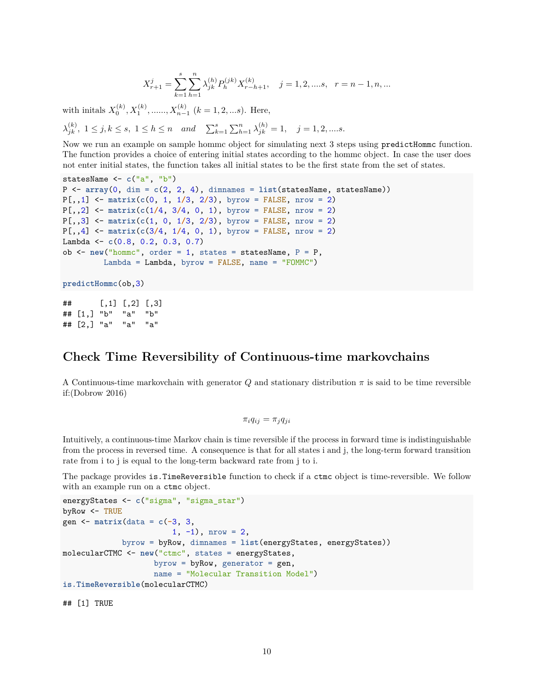$$
X_{r+1}^j = \sum_{k=1}^s \sum_{h=1}^n \lambda_{jk}^{(h)} P_h^{(jk)} X_{r-h+1}^{(k)}, \quad j = 1, 2, \dots s, \quad r = n-1, n, \dots
$$

with initals  $X_0^{(k)}$ ,  $X_1^{(k)}$ , ...,  $X_{n-1}^{(k)}$  ( $k = 1, 2, ...$ s). Here,

 $\lambda_{jk}^{(k)}$ ,  $1 \leq j, k \leq s, 1 \leq h \leq n$  and  $\sum_{k=1}^{s} \sum_{h=1}^{n} \lambda_{jk}^{(h)} = 1, j = 1, 2, \dots s.$ 

Now we run an example on sample hommc object for simulating next 3 steps using predictHommc function. The function provides a choice of entering initial states according to the hommc object. In case the user does not enter initial states, the function takes all initial states to be the first state from the set of states.

```
statesName <- c("a", "b")
P <- array(0, dim = c(2, 2, 4), dimnames = list(statesName, statesName))
P[,,1] <- matrix(c(0, 1, 1/3, 2/3), byrow = FALSE, nrow = 2)
P[,,2] <- matrix(c(1/4, 3/4, 0, 1), byrow = FALSE, nrow = 2)
P[,,3] <- matrix(c(1, 0, 1/3, 2/3), byrow = FALSE, nrow = 2)
P[,,4] <- matrix(c(3/4, 1/4, 0, 1), byrow = FALSE, nrow = 2)
Lambda <- c(0.8, 0.2, 0.3, 0.7)
ob <- new("hommc", order = 1, states = statesName, P = P,
         Lambda = Lambda, byrow = FALSE, name = "FOMMC")
```

```
predictHommc(ob,3)
```

```
## [,1] [,2] [,3]
## [1,] "b" "a" "b"
## [2,] "a" "a" "a"
```
# **Check Time Reversibility of Continuous-time markovchains**

A Continuous-time markovchain with generator *Q* and stationary distribution *π* is said to be time reversible if:(Dobrow 2016)

$$
\pi_i q_{ij} = \pi_j q_{ji}
$$

Intuitively, a continuous-time Markov chain is time reversible if the process in forward time is indistinguishable from the process in reversed time. A consequence is that for all states i and j, the long-term forward transition rate from i to j is equal to the long-term backward rate from j to i.

The package provides is.TimeReversible function to check if a ctmc object is time-reversible. We follow with an example run on a ctmc object.

```
energyStates <- c("sigma", "sigma_star")
byRow <- TRUE
gen <- matrix(data = c(-3, 3,
                       1, -1), nrow = 2,
             byrow = byRow, dimnames = list(energyStates, energyStates))
molecularCTMC <- new("ctmc", states = energyStates,
                    byrow = byRow, generator = gen,
                    name = "Molecular Transition Model")
is.TimeReversible(molecularCTMC)
```
## [1] TRUE